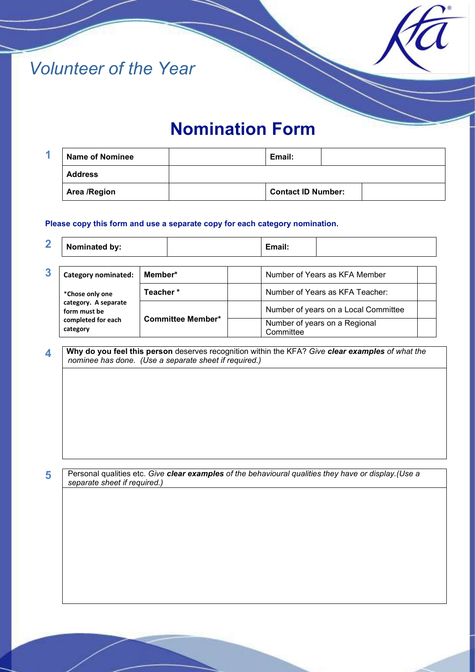



| <b>Name of Nominee</b> | Email: |                           |
|------------------------|--------|---------------------------|
| <b>Address</b>         |        |                           |
| <b>Area /Region</b>    |        | <b>Contact ID Number:</b> |

## **Please copy this form and use a separate copy for each category nomination.**

**2 Nominated by: Email: Email:** 

| 3 | <b>Category nominated:</b>                                                                | Member*                  | Number of Years as KFA Member              |  |
|---|-------------------------------------------------------------------------------------------|--------------------------|--------------------------------------------|--|
|   | *Chose only one<br>category. A separate<br>form must be<br>completed for each<br>category | Teacher*                 | Number of Years as KFA Teacher:            |  |
|   |                                                                                           | <b>Committee Member*</b> | Number of years on a Local Committee       |  |
|   |                                                                                           |                          | Number of years on a Regional<br>Committee |  |

**4 Why do you feel this person** deserves recognition within the KFA? *Give clear examples of what the nominee has done. (Use a separate sheet if required.)* 

**5** Personal qualities etc. *Give clear examples of the behavioural qualities they have or display.(Use a separate sheet if required.)*